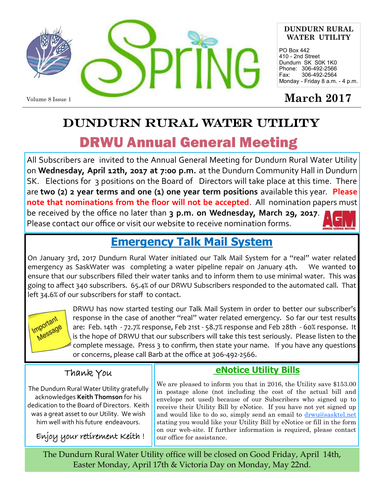

#### **DUNDURN RURAL WATER UTILITY**

PO Box 442 410 - 2nd Street Dundurn SK S0K 1K0 Phone: 306-492-2566 Fax: 306-492-2564 Monday - Friday 8 a.m. - 4 p.m.

# DUNDURN RURAL WATER UTILITY DRWU Annual General Meeting

All Subscribers are invited to the Annual General Meeting for Dundurn Rural Water Utility on **Wednesday, April 12th, 2017 at 7:00 p.m.** at the Dundurn Community Hall in Dundurn SK. Elections for 3 positions on the Board of Directors will take place at this time. There are **two (2) 2 year terms and one (1) one year term positions** available this year. **Please note that nominations from the floor will not be accepted**. All nomination papers must be received by the office no later than **3 p.m. on Wednesday, March 29, 2017**. Please contact our office or visit our website to receive nomination forms.



## **Emergency Talk Mail System**

On January 3rd, 2017 Dundurn Rural Water initiated our Talk Mail System for a "real" water related emergency as SaskWater was completing a water pipeline repair on January 4th. We wanted to ensure that our subscribers filled their water tanks and to inform them to use minimal water. This was going to affect 340 subscribers. 65.4% of our DRWU Subscribers responded to the automated call. That left 34.6% of our subscribers for staff to contact.



DRWU has now started testing our Talk Mail System in order to better our subscriber's response in the case of another "real" water related emergency. So far our test results are: Feb. 14th - 72.7% response, Feb 21st - 58.7% response and Feb 28th - 60% response. It is the hope of DRWU that our subscribers will take this test seriously. Please listen to the complete message. Press 3 to confirm, then state your name. If you have any questions or concerns, please call Barb at the office at 306-492-2566.

## Thank You

The Dundurn Rural Water Utility gratefully acknowledges **Keith Thomson** for his dedication to the Board of Directors. Keith was a great asset to our Utility. We wish him well with his future endeavours.

Enjoy your retirement Keith !

## **eNotice Utility Bills**

We are pleased to inform you that in 2016, the Utility save \$153.00 in postage alone (not including the cost of the actual bill and envelope not used) because of our Subscribers who signed up to receive their Utility Bill by eNotice. If you have not yet signed up and would like to do so, simply send an email to drwu@sasktel.net stating you would like your Utility Bill by eNotice or fill in the form on our web-site. If further information is required, please contact our office for assistance.

The Dundurn Rural Water Utility office will be closed on Good Friday, April 14th, Easter Monday, April 17th & Victoria Day on Monday, May 22nd.